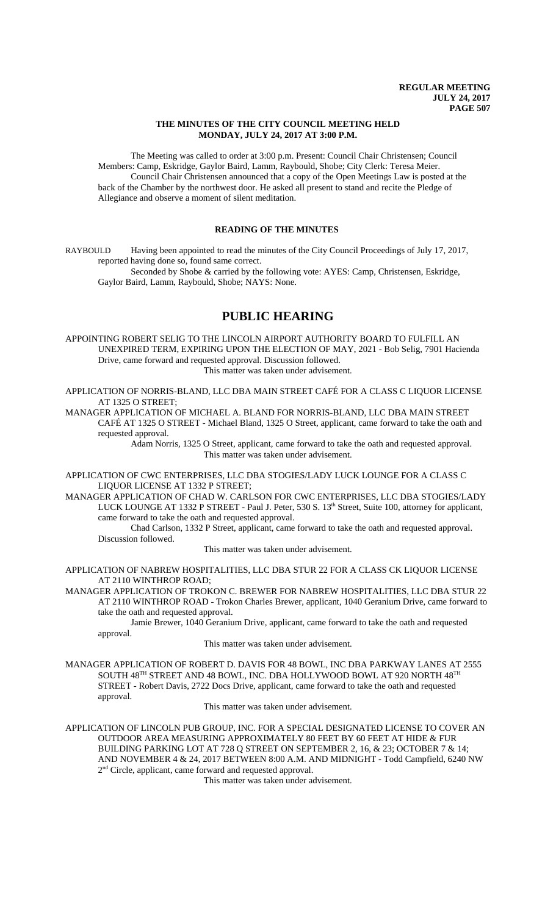### **THE MINUTES OF THE CITY COUNCIL MEETING HELD MONDAY, JULY 24, 2017 AT 3:00 P.M.**

The Meeting was called to order at 3:00 p.m. Present: Council Chair Christensen; Council Members: Camp, Eskridge, Gaylor Baird, Lamm, Raybould, Shobe; City Clerk: Teresa Meier. Council Chair Christensen announced that a copy of the Open Meetings Law is posted at the back of the Chamber by the northwest door. He asked all present to stand and recite the Pledge of Allegiance and observe a moment of silent meditation.

## **READING OF THE MINUTES**

RAYBOULD Having been appointed to read the minutes of the City Council Proceedings of July 17, 2017, reported having done so, found same correct.

Seconded by Shobe & carried by the following vote: AYES: Camp, Christensen, Eskridge, Gaylor Baird, Lamm, Raybould, Shobe; NAYS: None.

# **PUBLIC HEARING**

APPOINTING ROBERT SELIG TO THE LINCOLN AIRPORT AUTHORITY BOARD TO FULFILL AN UNEXPIRED TERM, EXPIRING UPON THE ELECTION OF MAY, 2021 - Bob Selig, 7901 Hacienda Drive, came forward and requested approval. Discussion followed. This matter was taken under advisement.

APPLICATION OF NORRIS-BLAND, LLC DBA MAIN STREET CAFÉ FOR A CLASS C LIQUOR LICENSE AT 1325 O STREET;

MANAGER APPLICATION OF MICHAEL A. BLAND FOR NORRIS-BLAND, LLC DBA MAIN STREET CAFÉ AT 1325 O STREET - Michael Bland, 1325 O Street, applicant, came forward to take the oath and requested approval.

Adam Norris, 1325 O Street, applicant, came forward to take the oath and requested approval. This matter was taken under advisement.

APPLICATION OF CWC ENTERPRISES, LLC DBA STOGIES/LADY LUCK LOUNGE FOR A CLASS C LIQUOR LICENSE AT 1332 P STREET;

MANAGER APPLICATION OF CHAD W. CARLSON FOR CWC ENTERPRISES, LLC DBA STOGIES/LADY LUCK LOUNGE AT 1332 P STREET - Paul J. Peter, 530 S. 13<sup>th</sup> Street, Suite 100, attorney for applicant, came forward to take the oath and requested approval.

Chad Carlson, 1332 P Street, applicant, came forward to take the oath and requested approval. Discussion followed.

This matter was taken under advisement.

APPLICATION OF NABREW HOSPITALITIES, LLC DBA STUR 22 FOR A CLASS CK LIQUOR LICENSE AT 2110 WINTHROP ROAD;

MANAGER APPLICATION OF TROKON C. BREWER FOR NABREW HOSPITALITIES, LLC DBA STUR 22 AT 2110 WINTHROP ROAD - Trokon Charles Brewer, applicant, 1040 Geranium Drive, came forward to take the oath and requested approval.

Jamie Brewer, 1040 Geranium Drive, applicant, came forward to take the oath and requested approval.

This matter was taken under advisement.

MANAGER APPLICATION OF ROBERT D. DAVIS FOR 48 BOWL, INC DBA PARKWAY LANES AT 2555 SOUTH 48TH STREET AND 48 BOWL, INC. DBA HOLLYWOOD BOWL AT 920 NORTH 48TH STREET - Robert Davis, 2722 Docs Drive, applicant, came forward to take the oath and requested approval.

This matter was taken under advisement.

APPLICATION OF LINCOLN PUB GROUP, INC. FOR A SPECIAL DESIGNATED LICENSE TO COVER AN OUTDOOR AREA MEASURING APPROXIMATELY 80 FEET BY 60 FEET AT HIDE & FUR BUILDING PARKING LOT AT 728 Q STREET ON SEPTEMBER 2, 16, & 23; OCTOBER 7 & 14; AND NOVEMBER 4 & 24, 2017 BETWEEN 8:00 A.M. AND MIDNIGHT - Todd Campfield, 6240 NW 2<sup>nd</sup> Circle, applicant, came forward and requested approval.

This matter was taken under advisement.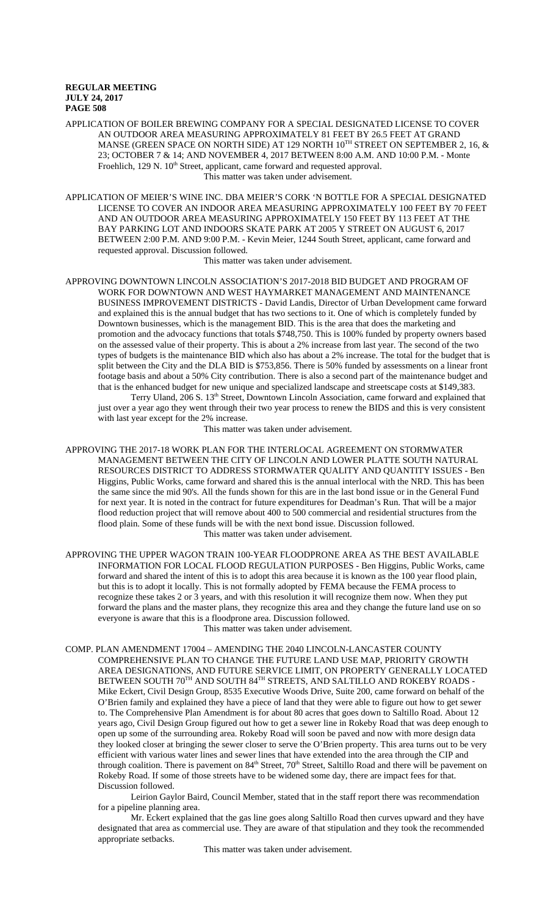APPLICATION OF BOILER BREWING COMPANY FOR A SPECIAL DESIGNATED LICENSE TO COVER AN OUTDOOR AREA MEASURING APPROXIMATELY 81 FEET BY 26.5 FEET AT GRAND MANSE (GREEN SPACE ON NORTH SIDE) AT 129 NORTH 10<sup>TH</sup> STREET ON SEPTEMBER 2, 16, & 23; OCTOBER 7 & 14; AND NOVEMBER 4, 2017 BETWEEN 8:00 A.M. AND 10:00 P.M. - Monte Froehlich, 129 N. 10<sup>th</sup> Street, applicant, came forward and requested approval. This matter was taken under advisement.

APPLICATION OF MEIER'S WINE INC. DBA MEIER'S CORK 'N BOTTLE FOR A SPECIAL DESIGNATED LICENSE TO COVER AN INDOOR AREA MEASURING APPROXIMATELY 100 FEET BY 70 FEET AND AN OUTDOOR AREA MEASURING APPROXIMATELY 150 FEET BY 113 FEET AT THE BAY PARKING LOT AND INDOORS SKATE PARK AT 2005 Y STREET ON AUGUST 6, 2017 BETWEEN 2:00 P.M. AND 9:00 P.M. - Kevin Meier, 1244 South Street, applicant, came forward and requested approval. Discussion followed.

This matter was taken under advisement.

APPROVING DOWNTOWN LINCOLN ASSOCIATION'S 2017-2018 BID BUDGET AND PROGRAM OF WORK FOR DOWNTOWN AND WEST HAYMARKET MANAGEMENT AND MAINTENANCE BUSINESS IMPROVEMENT DISTRICTS - David Landis, Director of Urban Development came forward and explained this is the annual budget that has two sections to it. One of which is completely funded by Downtown businesses, which is the management BID. This is the area that does the marketing and promotion and the advocacy functions that totals \$748,750. This is 100% funded by property owners based on the assessed value of their property. This is about a 2% increase from last year. The second of the two types of budgets is the maintenance BID which also has about a 2% increase. The total for the budget that is split between the City and the DLA BID is \$753,856. There is 50% funded by assessments on a linear front footage basis and about a 50% City contribution. There is also a second part of the maintenance budget and that is the enhanced budget for new unique and specialized landscape and streetscape costs at \$149,383.

Terry Uland, 206 S. 13<sup>th</sup> Street, Downtown Lincoln Association, came forward and explained that just over a year ago they went through their two year process to renew the BIDS and this is very consistent with last year except for the 2% increase.

This matter was taken under advisement.

APPROVING THE 2017-18 WORK PLAN FOR THE INTERLOCAL AGREEMENT ON STORMWATER MANAGEMENT BETWEEN THE CITY OF LINCOLN AND LOWER PLATTE SOUTH NATURAL RESOURCES DISTRICT TO ADDRESS STORMWATER QUALITY AND QUANTITY ISSUES - Ben Higgins, Public Works, came forward and shared this is the annual interlocal with the NRD. This has been the same since the mid 90's. All the funds shown for this are in the last bond issue or in the General Fund for next year. It is noted in the contract for future expenditures for Deadman's Run. That will be a major flood reduction project that will remove about 400 to 500 commercial and residential structures from the flood plain. Some of these funds will be with the next bond issue. Discussion followed. This matter was taken under advisement.

APPROVING THE UPPER WAGON TRAIN 100-YEAR FLOODPRONE AREA AS THE BEST AVAILABLE INFORMATION FOR LOCAL FLOOD REGULATION PURPOSES - Ben Higgins, Public Works, came forward and shared the intent of this is to adopt this area because it is known as the 100 year flood plain, but this is to adopt it locally. This is not formally adopted by FEMA because the FEMA process to recognize these takes 2 or 3 years, and with this resolution it will recognize them now. When they put forward the plans and the master plans, they recognize this area and they change the future land use on so everyone is aware that this is a floodprone area. Discussion followed.

This matter was taken under advisement.

COMP. PLAN AMENDMENT 17004 – AMENDING THE 2040 LINCOLN-LANCASTER COUNTY COMPREHENSIVE PLAN TO CHANGE THE FUTURE LAND USE MAP, PRIORITY GROWTH AREA DESIGNATIONS, AND FUTURE SERVICE LIMIT, ON PROPERTY GENERALLY LOCATED BETWEEN SOUTH 70TH AND SOUTH 84TH STREETS, AND SALTILLO AND ROKEBY ROADS -Mike Eckert, Civil Design Group, 8535 Executive Woods Drive, Suite 200, came forward on behalf of the O'Brien family and explained they have a piece of land that they were able to figure out how to get sewer to. The Comprehensive Plan Amendment is for about 80 acres that goes down to Saltillo Road. About 12 years ago, Civil Design Group figured out how to get a sewer line in Rokeby Road that was deep enough to open up some of the surrounding area. Rokeby Road will soon be paved and now with more design data they looked closer at bringing the sewer closer to serve the O'Brien property. This area turns out to be very efficient with various water lines and sewer lines that have extended into the area through the CIP and through coalition. There is pavement on 84<sup>th</sup> Street, 70<sup>th</sup> Street, Saltillo Road and there will be pavement on Rokeby Road. If some of those streets have to be widened some day, there are impact fees for that. Discussion followed.

Leirion Gaylor Baird, Council Member, stated that in the staff report there was recommendation for a pipeline planning area.

Mr. Eckert explained that the gas line goes along Saltillo Road then curves upward and they have designated that area as commercial use. They are aware of that stipulation and they took the recommended appropriate setbacks.

This matter was taken under advisement.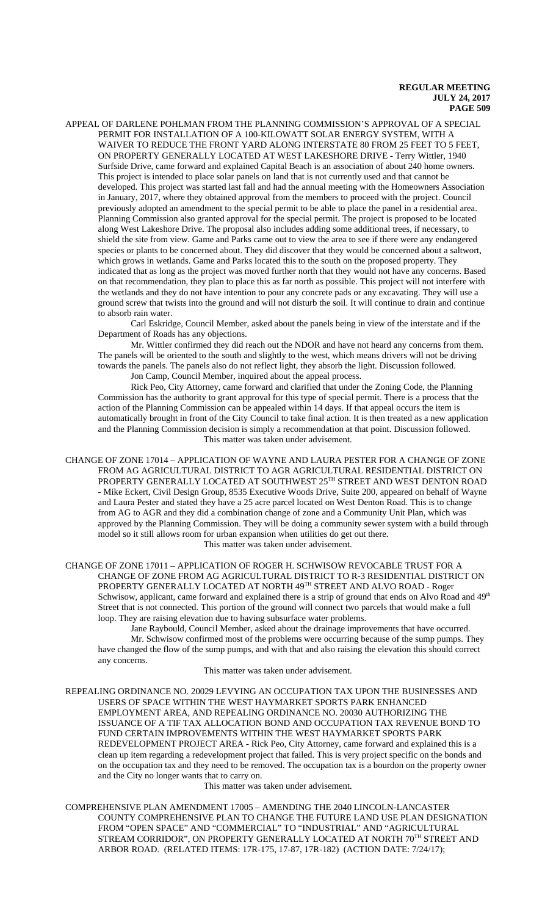APPEAL OF DARLENE POHLMAN FROM THE PLANNING COMMISSION'S APPROVAL OF A SPECIAL PERMIT FOR INSTALLATION OF A 100-KILOWATT SOLAR ENERGY SYSTEM, WITH A WAIVER TO REDUCE THE FRONT YARD ALONG INTERSTATE 80 FROM 25 FEET TO 5 FEET, ON PROPERTY GENERALLY LOCATED AT WEST LAKESHORE DRIVE - Terry Wittler, 1940 Surfside Drive, came forward and explained Capital Beach is an association of about 240 home owners. This project is intended to place solar panels on land that is not currently used and that cannot be developed. This project was started last fall and had the annual meeting with the Homeowners Association in January, 2017, where they obtained approval from the members to proceed with the project. Council previously adopted an amendment to the special permit to be able to place the panel in a residential area. Planning Commission also granted approval for the special permit. The project is proposed to be located along West Lakeshore Drive. The proposal also includes adding some additional trees, if necessary, to shield the site from view. Game and Parks came out to view the area to see if there were any endangered species or plants to be concerned about. They did discover that they would be concerned about a saltwort, which grows in wetlands. Game and Parks located this to the south on the proposed property. They indicated that as long as the project was moved further north that they would not have any concerns. Based on that recommendation, they plan to place this as far north as possible. This project will not interfere with the wetlands and they do not have intention to pour any concrete pads or any excavating. They will use a ground screw that twists into the ground and will not disturb the soil. It will continue to drain and continue to absorb rain water.

Carl Eskridge, Council Member, asked about the panels being in view of the interstate and if the Department of Roads has any objections.

Mr. Wittler confirmed they did reach out the NDOR and have not heard any concerns from them. The panels will be oriented to the south and slightly to the west, which means drivers will not be driving towards the panels. The panels also do not reflect light, they absorb the light. Discussion followed.

Jon Camp, Council Member, inquired about the appeal process.

Rick Peo, City Attorney, came forward and clarified that under the Zoning Code, the Planning Commission has the authority to grant approval for this type of special permit. There is a process that the action of the Planning Commission can be appealed within 14 days. If that appeal occurs the item is automatically brought in front of the City Council to take final action. It is then treated as a new application and the Planning Commission decision is simply a recommendation at that point. Discussion followed. This matter was taken under advisement.

CHANGE OF ZONE 17014 – APPLICATION OF WAYNE AND LAURA PESTER FOR A CHANGE OF ZONE FROM AG AGRICULTURAL DISTRICT TO AGR AGRICULTURAL RESIDENTIAL DISTRICT ON PROPERTY GENERALLY LOCATED AT SOUTHWEST 25TH STREET AND WEST DENTON ROAD - Mike Eckert, Civil Design Group, 8535 Executive Woods Drive, Suite 200, appeared on behalf of Wayne and Laura Pester and stated they have a 25 acre parcel located on West Denton Road. This is to change from AG to AGR and they did a combination change of zone and a Community Unit Plan, which was approved by the Planning Commission. They will be doing a community sewer system with a build through model so it still allows room for urban expansion when utilities do get out there. This matter was taken under advisement.

CHANGE OF ZONE 17011 – APPLICATION OF ROGER H. SCHWISOW REVOCABLE TRUST FOR A CHANGE OF ZONE FROM AG AGRICULTURAL DISTRICT TO R-3 RESIDENTIAL DISTRICT ON PROPERTY GENERALLY LOCATED AT NORTH 49TH STREET AND ALVO ROAD - Roger Schwisow, applicant, came forward and explained there is a strip of ground that ends on Alvo Road and 49<sup>th</sup> Street that is not connected. This portion of the ground will connect two parcels that would make a full loop. They are raising elevation due to having subsurface water problems.

Jane Raybould, Council Member, asked about the drainage improvements that have occurred. Mr. Schwisow confirmed most of the problems were occurring because of the sump pumps. They have changed the flow of the sump pumps, and with that and also raising the elevation this should correct any concerns.

This matter was taken under advisement.

REPEALING ORDINANCE NO. 20029 LEVYING AN OCCUPATION TAX UPON THE BUSINESSES AND USERS OF SPACE WITHIN THE WEST HAYMARKET SPORTS PARK ENHANCED EMPLOYMENT AREA, AND REPEALING ORDINANCE NO. 20030 AUTHORIZING THE ISSUANCE OF A TIF TAX ALLOCATION BOND AND OCCUPATION TAX REVENUE BOND TO FUND CERTAIN IMPROVEMENTS WITHIN THE WEST HAYMARKET SPORTS PARK REDEVELOPMENT PROJECT AREA - Rick Peo, City Attorney, came forward and explained this is a clean up item regarding a redevelopment project that failed. This is very project specific on the bonds and on the occupation tax and they need to be removed. The occupation tax is a bourdon on the property owner and the City no longer wants that to carry on.

This matter was taken under advisement.

COMPREHENSIVE PLAN AMENDMENT 17005 – AMENDING THE 2040 LINCOLN-LANCASTER COUNTY COMPREHENSIVE PLAN TO CHANGE THE FUTURE LAND USE PLAN DESIGNATION FROM "OPEN SPACE" AND "COMMERCIAL" TO "INDUSTRIAL" AND "AGRICULTURAL STREAM CORRIDOR", ON PROPERTY GENERALLY LOCATED AT NORTH 70TH STREET AND ARBOR ROAD. (RELATED ITEMS: 17R-175, 17-87, 17R-182) (ACTION DATE: 7/24/17);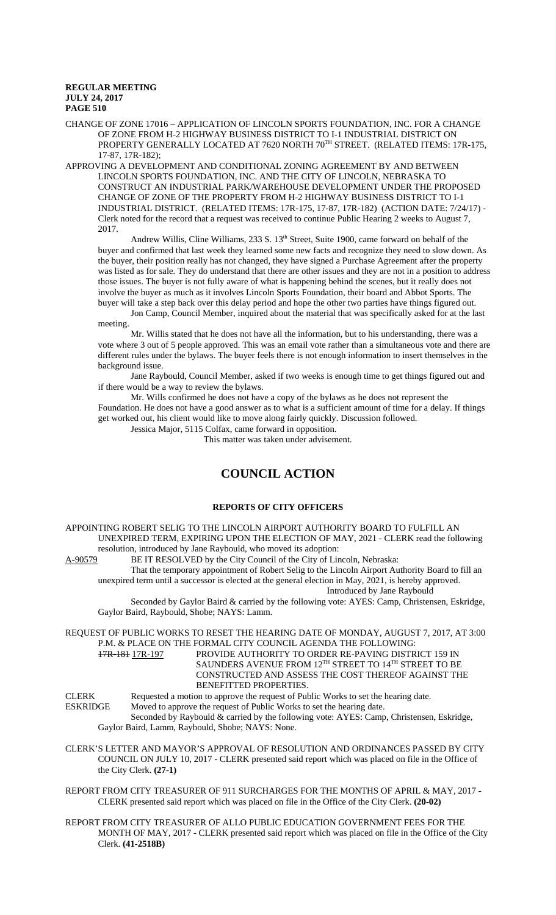CHANGE OF ZONE 17016 – APPLICATION OF LINCOLN SPORTS FOUNDATION, INC. FOR A CHANGE OF ZONE FROM H-2 HIGHWAY BUSINESS DISTRICT TO I-1 INDUSTRIAL DISTRICT ON PROPERTY GENERALLY LOCATED AT 7620 NORTH 70TH STREET. (RELATED ITEMS: 17R-175, 17-87, 17R-182);

APPROVING A DEVELOPMENT AND CONDITIONAL ZONING AGREEMENT BY AND BETWEEN LINCOLN SPORTS FOUNDATION, INC. AND THE CITY OF LINCOLN, NEBRASKA TO CONSTRUCT AN INDUSTRIAL PARK/WAREHOUSE DEVELOPMENT UNDER THE PROPOSED CHANGE OF ZONE OF THE PROPERTY FROM H-2 HIGHWAY BUSINESS DISTRICT TO I-1 INDUSTRIAL DISTRICT. (RELATED ITEMS: 17R-175, 17-87, 17R-182) (ACTION DATE: 7/24/17) - Clerk noted for the record that a request was received to continue Public Hearing 2 weeks to August 7, 2017.

Andrew Willis, Cline Williams, 233 S. 13<sup>th</sup> Street, Suite 1900, came forward on behalf of the buyer and confirmed that last week they learned some new facts and recognize they need to slow down. As the buyer, their position really has not changed, they have signed a Purchase Agreement after the property was listed as for sale. They do understand that there are other issues and they are not in a position to address those issues. The buyer is not fully aware of what is happening behind the scenes, but it really does not involve the buyer as much as it involves Lincoln Sports Foundation, their board and Abbot Sports. The buyer will take a step back over this delay period and hope the other two parties have things figured out.

Jon Camp, Council Member, inquired about the material that was specifically asked for at the last meeting.

Mr. Willis stated that he does not have all the information, but to his understanding, there was a vote where 3 out of 5 people approved. This was an email vote rather than a simultaneous vote and there are different rules under the bylaws. The buyer feels there is not enough information to insert themselves in the background issue.

Jane Raybould, Council Member, asked if two weeks is enough time to get things figured out and if there would be a way to review the bylaws.

Mr. Wills confirmed he does not have a copy of the bylaws as he does not represent the Foundation. He does not have a good answer as to what is a sufficient amount of time for a delay. If things get worked out, his client would like to move along fairly quickly. Discussion followed.

Jessica Major, 5115 Colfax, came forward in opposition.

This matter was taken under advisement.

# **COUNCIL ACTION**

# **REPORTS OF CITY OFFICERS**

APPOINTING ROBERT SELIG TO THE LINCOLN AIRPORT AUTHORITY BOARD TO FULFILL AN UNEXPIRED TERM, EXPIRING UPON THE ELECTION OF MAY, 2021 - CLERK read the following resolution, introduced by Jane Raybould, who moved its adoption:<br>A-90579 BE IT RESOLVED by the City Council of the City of Lin

BE IT RESOLVED by the City Council of the City of Lincoln, Nebraska:

That the temporary appointment of Robert Selig to the Lincoln Airport Authority Board to fill an unexpired term until a successor is elected at the general election in May, 2021, is hereby approved.

Introduced by Jane Raybould

Seconded by Gaylor Baird & carried by the following vote: AYES: Camp, Christensen, Eskridge, Gaylor Baird, Raybould, Shobe; NAYS: Lamm.

REQUEST OF PUBLIC WORKS TO RESET THE HEARING DATE OF MONDAY, AUGUST 7, 2017, AT 3:00 P.M. & PLACE ON THE FORMAL CITY COUNCIL AGENDA THE FOLLOWING: 17R-181 17R-197 PROVIDE AUTHORITY TO ORDER RE-PAVING DISTRICT 159 IN SAUNDERS AVENUE FROM  $12^{\text{\tiny{TH}}}$  STREET TO  $14^{\text{\tiny{TH}}}$  STREET TO BE

CONSTRUCTED AND ASSESS THE COST THEREOF AGAINST THE BENEFITTED PROPERTIES.

CLERK Requested a motion to approve the request of Public Works to set the hearing date.<br>
FSKRIDGE Moved to approve the request of Public Works to set the hearing date. Moved to approve the request of Public Works to set the hearing date. Seconded by Raybould & carried by the following vote: AYES: Camp, Christensen, Eskridge, Gaylor Baird, Lamm, Raybould, Shobe; NAYS: None.

CLERK'S LETTER AND MAYOR'S APPROVAL OF RESOLUTION AND ORDINANCES PASSED BY CITY COUNCIL ON JULY 10, 2017 - CLERK presented said report which was placed on file in the Office of the City Clerk. **(27-1)**

REPORT FROM CITY TREASURER OF 911 SURCHARGES FOR THE MONTHS OF APRIL & MAY, 2017 - CLERK presented said report which was placed on file in the Office of the City Clerk. **(20-02)**

REPORT FROM CITY TREASURER OF ALLO PUBLIC EDUCATION GOVERNMENT FEES FOR THE MONTH OF MAY, 2017 - CLERK presented said report which was placed on file in the Office of the City Clerk. **(41-2518B)**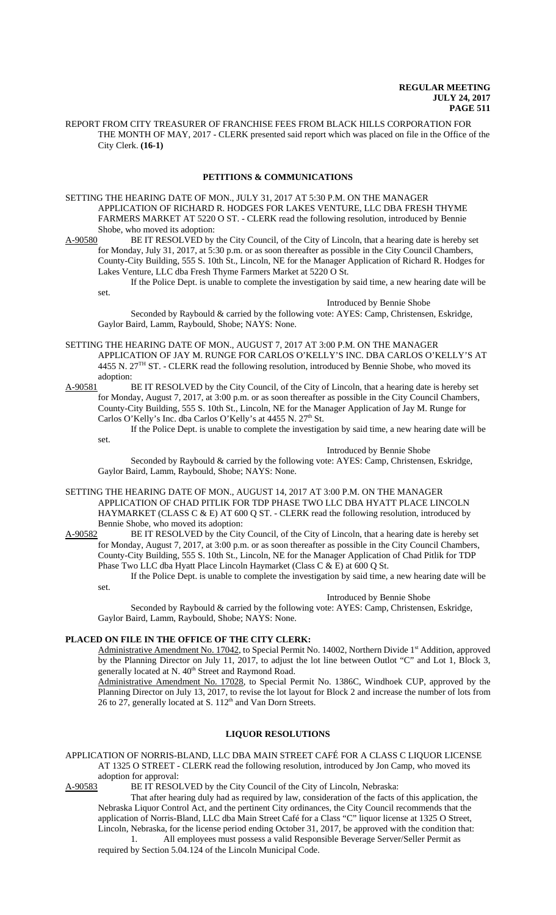REPORT FROM CITY TREASURER OF FRANCHISE FEES FROM BLACK HILLS CORPORATION FOR THE MONTH OF MAY, 2017 - CLERK presented said report which was placed on file in the Office of the City Clerk. **(16-1)**

#### **PETITIONS & COMMUNICATIONS**

SETTING THE HEARING DATE OF MON., JULY 31, 2017 AT 5:30 P.M. ON THE MANAGER APPLICATION OF RICHARD R. HODGES FOR LAKES VENTURE, LLC DBA FRESH THYME FARMERS MARKET AT 5220 O ST. - CLERK read the following resolution, introduced by Bennie Shobe, who moved its adoption:<br>A-90580 BE IT RESOLVED by

BE IT RESOLVED by the City Council, of the City of Lincoln, that a hearing date is hereby set for Monday, July 31, 2017, at 5:30 p.m. or as soon thereafter as possible in the City Council Chambers, County-City Building, 555 S. 10th St., Lincoln, NE for the Manager Application of Richard R. Hodges for Lakes Venture, LLC dba Fresh Thyme Farmers Market at 5220 O St.

If the Police Dept. is unable to complete the investigation by said time, a new hearing date will be set.

#### Introduced by Bennie Shobe

Seconded by Raybould & carried by the following vote: AYES: Camp, Christensen, Eskridge, Gaylor Baird, Lamm, Raybould, Shobe; NAYS: None.

#### SETTING THE HEARING DATE OF MON., AUGUST 7, 2017 AT 3:00 P.M. ON THE MANAGER APPLICATION OF JAY M. RUNGE FOR CARLOS O'KELLY'S INC. DBA CARLOS O'KELLY'S AT 4455 N. 27TH ST. - CLERK read the following resolution, introduced by Bennie Shobe, who moved its

adoption: A-90581 BE IT RESOLVED by the City Council, of the City of Lincoln, that a hearing date is hereby set for Monday, August 7, 2017, at 3:00 p.m. or as soon thereafter as possible in the City Council Chambers, County-City Building, 555 S. 10th St., Lincoln, NE for the Manager Application of Jay M. Runge for Carlos O'Kelly's Inc. dba Carlos O'Kelly's at 4455 N. 27<sup>th</sup> St.

If the Police Dept. is unable to complete the investigation by said time, a new hearing date will be

set.

#### Introduced by Bennie Shobe

Seconded by Raybould & carried by the following vote: AYES: Camp, Christensen, Eskridge, Gaylor Baird, Lamm, Raybould, Shobe; NAYS: None.

SETTING THE HEARING DATE OF MON., AUGUST 14, 2017 AT 3:00 P.M. ON THE MANAGER APPLICATION OF CHAD PITLIK FOR TDP PHASE TWO LLC DBA HYATT PLACE LINCOLN HAYMARKET (CLASS C & E) AT 600 Q ST. - CLERK read the following resolution, introduced by Bennie Shobe, who moved its adoption:

A-90582 BE IT RESOLVED by the City Council, of the City of Lincoln, that a hearing date is hereby set for Monday, August 7, 2017, at 3:00 p.m. or as soon thereafter as possible in the City Council Chambers, County-City Building, 555 S. 10th St., Lincoln, NE for the Manager Application of Chad Pitlik for TDP Phase Two LLC dba Hyatt Place Lincoln Haymarket (Class C & E) at 600 Q St.

If the Police Dept. is unable to complete the investigation by said time, a new hearing date will be set.

# Introduced by Bennie Shobe

Seconded by Raybould & carried by the following vote: AYES: Camp, Christensen, Eskridge, Gaylor Baird, Lamm, Raybould, Shobe; NAYS: None.

#### **PLACED ON FILE IN THE OFFICE OF THE CITY CLERK:**

Administrative Amendment No. 17042, to Special Permit No. 14002, Northern Divide 1st Addition, approved by the Planning Director on July 11, 2017, to adjust the lot line between Outlot "C" and Lot 1, Block 3, generally located at N. 40<sup>th</sup> Street and Raymond Road.

Administrative Amendment No. 17028, to Special Permit No. 1386C, Windhoek CUP, approved by the Planning Director on July 13, 2017, to revise the lot layout for Block 2 and increase the number of lots from 26 to 27, generally located at S. 112<sup>th</sup> and Van Dorn Streets.

# **LIQUOR RESOLUTIONS**

#### APPLICATION OF NORRIS-BLAND, LLC DBA MAIN STREET CAFÉ FOR A CLASS C LIQUOR LICENSE AT 1325 O STREET - CLERK read the following resolution, introduced by Jon Camp, who moved its adoption for approval:

A-90583 BE IT RESOLVED by the City Council of the City of Lincoln, Nebraska:

That after hearing duly had as required by law, consideration of the facts of this application, the Nebraska Liquor Control Act, and the pertinent City ordinances, the City Council recommends that the application of Norris-Bland, LLC dba Main Street Café for a Class "C" liquor license at 1325 O Street, Lincoln, Nebraska, for the license period ending October 31, 2017, be approved with the condition that:

1. All employees must possess a valid Responsible Beverage Server/Seller Permit as required by Section 5.04.124 of the Lincoln Municipal Code.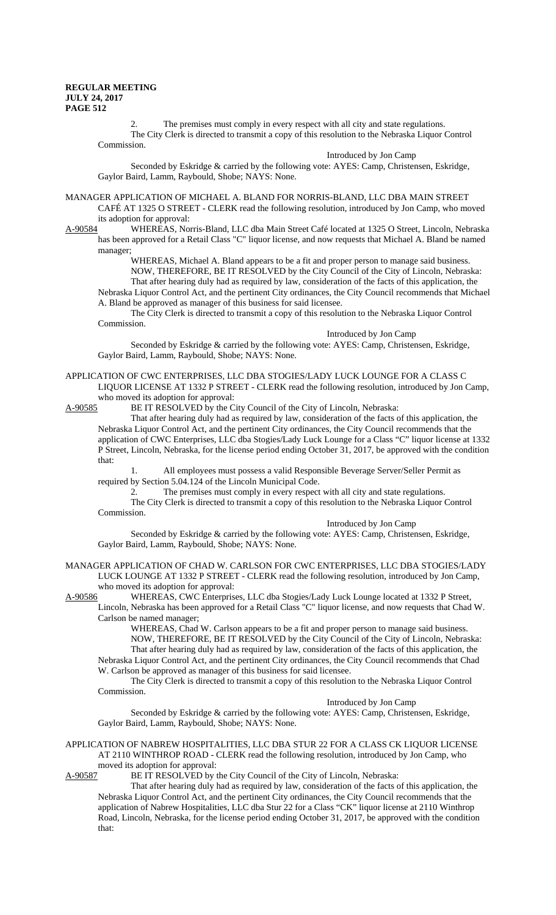2. The premises must comply in every respect with all city and state regulations. The City Clerk is directed to transmit a copy of this resolution to the Nebraska Liquor Control Commission.

Introduced by Jon Camp

Seconded by Eskridge & carried by the following vote: AYES: Camp, Christensen, Eskridge, Gaylor Baird, Lamm, Raybould, Shobe; NAYS: None.

MANAGER APPLICATION OF MICHAEL A. BLAND FOR NORRIS-BLAND, LLC DBA MAIN STREET CAFÉ AT 1325 O STREET - CLERK read the following resolution, introduced by Jon Camp, who moved

its adoption for approval:<br>A-90584 WHEREAS, No WHEREAS, Norris-Bland, LLC dba Main Street Café located at 1325 O Street, Lincoln, Nebraska has been approved for a Retail Class "C" liquor license, and now requests that Michael A. Bland be named manager;

WHEREAS, Michael A. Bland appears to be a fit and proper person to manage said business. NOW, THEREFORE, BE IT RESOLVED by the City Council of the City of Lincoln, Nebraska: That after hearing duly had as required by law, consideration of the facts of this application, the Nebraska Liquor Control Act, and the pertinent City ordinances, the City Council recommends that Michael A. Bland be approved as manager of this business for said licensee.

The City Clerk is directed to transmit a copy of this resolution to the Nebraska Liquor Control Commission.

Introduced by Jon Camp

Seconded by Eskridge & carried by the following vote: AYES: Camp, Christensen, Eskridge, Gaylor Baird, Lamm, Raybould, Shobe; NAYS: None.

# APPLICATION OF CWC ENTERPRISES, LLC DBA STOGIES/LADY LUCK LOUNGE FOR A CLASS C LIQUOR LICENSE AT 1332 P STREET - CLERK read the following resolution, introduced by Jon Camp,

who moved its adoption for approval:

A-90585 BE IT RESOLVED by the City Council of the City of Lincoln, Nebraska:

That after hearing duly had as required by law, consideration of the facts of this application, the Nebraska Liquor Control Act, and the pertinent City ordinances, the City Council recommends that the application of CWC Enterprises, LLC dba Stogies/Lady Luck Lounge for a Class "C" liquor license at 1332 P Street, Lincoln, Nebraska, for the license period ending October 31, 2017, be approved with the condition that:

1. All employees must possess a valid Responsible Beverage Server/Seller Permit as required by Section 5.04.124 of the Lincoln Municipal Code.

2. The premises must comply in every respect with all city and state regulations.

The City Clerk is directed to transmit a copy of this resolution to the Nebraska Liquor Control Commission.

Introduced by Jon Camp

Seconded by Eskridge & carried by the following vote: AYES: Camp, Christensen, Eskridge, Gaylor Baird, Lamm, Raybould, Shobe; NAYS: None.

MANAGER APPLICATION OF CHAD W. CARLSON FOR CWC ENTERPRISES, LLC DBA STOGIES/LADY LUCK LOUNGE AT 1332 P STREET - CLERK read the following resolution, introduced by Jon Camp, who moved its adoption for approval:

A-90586 WHEREAS, CWC Enterprises, LLC dba Stogies/Lady Luck Lounge located at 1332 P Street, Lincoln, Nebraska has been approved for a Retail Class "C" liquor license, and now requests that Chad W. Carlson be named manager;

WHEREAS, Chad W. Carlson appears to be a fit and proper person to manage said business. NOW, THEREFORE, BE IT RESOLVED by the City Council of the City of Lincoln, Nebraska: That after hearing duly had as required by law, consideration of the facts of this application, the Nebraska Liquor Control Act, and the pertinent City ordinances, the City Council recommends that Chad W. Carlson be approved as manager of this business for said licensee.

The City Clerk is directed to transmit a copy of this resolution to the Nebraska Liquor Control Commission.

Introduced by Jon Camp

Seconded by Eskridge & carried by the following vote: AYES: Camp, Christensen, Eskridge, Gaylor Baird, Lamm, Raybould, Shobe; NAYS: None.

APPLICATION OF NABREW HOSPITALITIES, LLC DBA STUR 22 FOR A CLASS CK LIQUOR LICENSE AT 2110 WINTHROP ROAD - CLERK read the following resolution, introduced by Jon Camp, who moved its adoption for approval:<br>A-90587 BE IT RESOLVED by t

BE IT RESOLVED by the City Council of the City of Lincoln, Nebraska:

That after hearing duly had as required by law, consideration of the facts of this application, the Nebraska Liquor Control Act, and the pertinent City ordinances, the City Council recommends that the application of Nabrew Hospitalities, LLC dba Stur 22 for a Class "CK" liquor license at 2110 Winthrop Road, Lincoln, Nebraska, for the license period ending October 31, 2017, be approved with the condition that: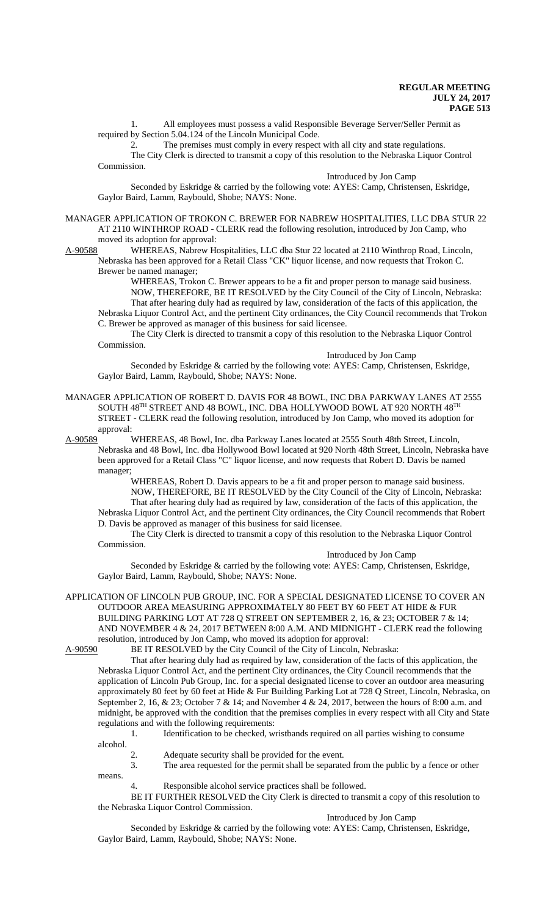1. All employees must possess a valid Responsible Beverage Server/Seller Permit as required by Section 5.04.124 of the Lincoln Municipal Code.

2. The premises must comply in every respect with all city and state regulations. The City Clerk is directed to transmit a copy of this resolution to the Nebraska Liquor Control Commission.

Introduced by Jon Camp

Seconded by Eskridge & carried by the following vote: AYES: Camp, Christensen, Eskridge, Gaylor Baird, Lamm, Raybould, Shobe; NAYS: None.

MANAGER APPLICATION OF TROKON C. BREWER FOR NABREW HOSPITALITIES, LLC DBA STUR 22 AT 2110 WINTHROP ROAD - CLERK read the following resolution, introduced by Jon Camp, who

moved its adoption for approval:<br>A-90588 WHEREAS, Nabrew He WHEREAS, Nabrew Hospitalities, LLC dba Stur 22 located at 2110 Winthrop Road, Lincoln, Nebraska has been approved for a Retail Class "CK" liquor license, and now requests that Trokon C. Brewer be named manager;

WHEREAS, Trokon C. Brewer appears to be a fit and proper person to manage said business. NOW, THEREFORE, BE IT RESOLVED by the City Council of the City of Lincoln, Nebraska: That after hearing duly had as required by law, consideration of the facts of this application, the Nebraska Liquor Control Act, and the pertinent City ordinances, the City Council recommends that Trokon C. Brewer be approved as manager of this business for said licensee.

The City Clerk is directed to transmit a copy of this resolution to the Nebraska Liquor Control Commission.

Introduced by Jon Camp

Seconded by Eskridge & carried by the following vote: AYES: Camp, Christensen, Eskridge, Gaylor Baird, Lamm, Raybould, Shobe; NAYS: None.

MANAGER APPLICATION OF ROBERT D. DAVIS FOR 48 BOWL, INC DBA PARKWAY LANES AT 2555 SOUTH 48TH STREET AND 48 BOWL, INC. DBA HOLLYWOOD BOWL AT 920 NORTH  $48^{\mathrm{TH}}$ STREET - CLERK read the following resolution, introduced by Jon Camp, who moved its adoption for approval:

A-90589 WHEREAS, 48 Bowl, Inc. dba Parkway Lanes located at 2555 South 48th Street, Lincoln, Nebraska and 48 Bowl, Inc. dba Hollywood Bowl located at 920 North 48th Street, Lincoln, Nebraska have been approved for a Retail Class "C" liquor license, and now requests that Robert D. Davis be named manager;

> WHEREAS, Robert D. Davis appears to be a fit and proper person to manage said business. NOW, THEREFORE, BE IT RESOLVED by the City Council of the City of Lincoln, Nebraska: That after hearing duly had as required by law, consideration of the facts of this application, the

Nebraska Liquor Control Act, and the pertinent City ordinances, the City Council recommends that Robert D. Davis be approved as manager of this business for said licensee.

The City Clerk is directed to transmit a copy of this resolution to the Nebraska Liquor Control Commission.

Introduced by Jon Camp

Seconded by Eskridge & carried by the following vote: AYES: Camp, Christensen, Eskridge, Gaylor Baird, Lamm, Raybould, Shobe; NAYS: None.

APPLICATION OF LINCOLN PUB GROUP, INC. FOR A SPECIAL DESIGNATED LICENSE TO COVER AN OUTDOOR AREA MEASURING APPROXIMATELY 80 FEET BY 60 FEET AT HIDE & FUR BUILDING PARKING LOT AT 728 Q STREET ON SEPTEMBER 2, 16, & 23; OCTOBER 7 & 14; AND NOVEMBER 4 & 24, 2017 BETWEEN 8:00 A.M. AND MIDNIGHT - CLERK read the following resolution, introduced by Jon Camp, who moved its adoption for approval:

A-90590 BE IT RESOLVED by the City Council of the City of Lincoln, Nebraska:

That after hearing duly had as required by law, consideration of the facts of this application, the Nebraska Liquor Control Act, and the pertinent City ordinances, the City Council recommends that the application of Lincoln Pub Group, Inc. for a special designated license to cover an outdoor area measuring approximately 80 feet by 60 feet at Hide & Fur Building Parking Lot at 728 Q Street, Lincoln, Nebraska, on September 2, 16, & 23; October 7 & 14; and November 4 & 24, 2017, between the hours of 8:00 a.m. and midnight, be approved with the condition that the premises complies in every respect with all City and State regulations and with the following requirements:

1. Identification to be checked, wristbands required on all parties wishing to consume alcohol.

2. Adequate security shall be provided for the event.

3. The area requested for the permit shall be separated from the public by a fence or other means.

4. Responsible alcohol service practices shall be followed.

BE IT FURTHER RESOLVED the City Clerk is directed to transmit a copy of this resolution to the Nebraska Liquor Control Commission.

Introduced by Jon Camp

Seconded by Eskridge & carried by the following vote: AYES: Camp, Christensen, Eskridge, Gaylor Baird, Lamm, Raybould, Shobe; NAYS: None.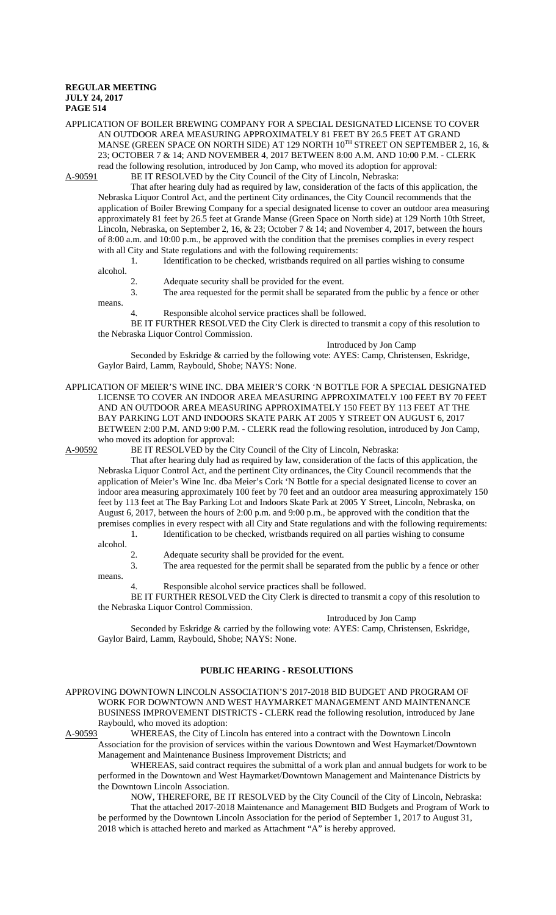# APPLICATION OF BOILER BREWING COMPANY FOR A SPECIAL DESIGNATED LICENSE TO COVER AN OUTDOOR AREA MEASURING APPROXIMATELY 81 FEET BY 26.5 FEET AT GRAND MANSE (GREEN SPACE ON NORTH SIDE) AT 129 NORTH  $10^{TH}$  STREET ON SEPTEMBER 2, 16,  $\&$ 23; OCTOBER 7 & 14; AND NOVEMBER 4, 2017 BETWEEN 8:00 A.M. AND 10:00 P.M. - CLERK read the following resolution, introduced by Jon Camp, who moved its adoption for approval:

A-90591 BE IT RESOLVED by the City Council of the City of Lincoln, Nebraska:

That after hearing duly had as required by law, consideration of the facts of this application, the Nebraska Liquor Control Act, and the pertinent City ordinances, the City Council recommends that the application of Boiler Brewing Company for a special designated license to cover an outdoor area measuring approximately 81 feet by 26.5 feet at Grande Manse (Green Space on North side) at 129 North 10th Street, Lincoln, Nebraska, on September 2, 16, & 23; October 7 & 14; and November 4, 2017, between the hours of 8:00 a.m. and 10:00 p.m., be approved with the condition that the premises complies in every respect with all City and State regulations and with the following requirements:

1. Identification to be checked, wristbands required on all parties wishing to consume

alcohol.

means.

2. Adequate security shall be provided for the event.

3. The area requested for the permit shall be separated from the public by a fence or other

4. Responsible alcohol service practices shall be followed.

BE IT FURTHER RESOLVED the City Clerk is directed to transmit a copy of this resolution to the Nebraska Liquor Control Commission.

Introduced by Jon Camp

Seconded by Eskridge & carried by the following vote: AYES: Camp, Christensen, Eskridge, Gaylor Baird, Lamm, Raybould, Shobe; NAYS: None.

APPLICATION OF MEIER'S WINE INC. DBA MEIER'S CORK 'N BOTTLE FOR A SPECIAL DESIGNATED LICENSE TO COVER AN INDOOR AREA MEASURING APPROXIMATELY 100 FEET BY 70 FEET AND AN OUTDOOR AREA MEASURING APPROXIMATELY 150 FEET BY 113 FEET AT THE BAY PARKING LOT AND INDOORS SKATE PARK AT 2005 Y STREET ON AUGUST 6, 2017 BETWEEN 2:00 P.M. AND 9:00 P.M. - CLERK read the following resolution, introduced by Jon Camp, who moved its adoption for approval:

A-90592 BE IT RESOLVED by the City Council of the City of Lincoln, Nebraska:

That after hearing duly had as required by law, consideration of the facts of this application, the Nebraska Liquor Control Act, and the pertinent City ordinances, the City Council recommends that the application of Meier's Wine Inc. dba Meier's Cork 'N Bottle for a special designated license to cover an indoor area measuring approximately 100 feet by 70 feet and an outdoor area measuring approximately 150 feet by 113 feet at The Bay Parking Lot and Indoors Skate Park at 2005 Y Street, Lincoln, Nebraska, on August 6, 2017, between the hours of 2:00 p.m. and 9:00 p.m., be approved with the condition that the premises complies in every respect with all City and State regulations and with the following requirements: 1. Identification to be checked, wristbands required on all parties wishing to consume

alcohol.

Adequate security shall be provided for the event.

3. The area requested for the permit shall be separated from the public by a fence or other

means.

4. Responsible alcohol service practices shall be followed.

BE IT FURTHER RESOLVED the City Clerk is directed to transmit a copy of this resolution to the Nebraska Liquor Control Commission.

#### Introduced by Jon Camp

Seconded by Eskridge & carried by the following vote: AYES: Camp, Christensen, Eskridge, Gaylor Baird, Lamm, Raybould, Shobe; NAYS: None.

# **PUBLIC HEARING - RESOLUTIONS**

APPROVING DOWNTOWN LINCOLN ASSOCIATION'S 2017-2018 BID BUDGET AND PROGRAM OF WORK FOR DOWNTOWN AND WEST HAYMARKET MANAGEMENT AND MAINTENANCE BUSINESS IMPROVEMENT DISTRICTS - CLERK read the following resolution, introduced by Jane Raybould, who moved its adoption:

A-90593 WHEREAS, the City of Lincoln has entered into a contract with the Downtown Lincoln Association for the provision of services within the various Downtown and West Haymarket/Downtown

Management and Maintenance Business Improvement Districts; and WHEREAS, said contract requires the submittal of a work plan and annual budgets for work to be performed in the Downtown and West Haymarket/Downtown Management and Maintenance Districts by

the Downtown Lincoln Association. NOW, THEREFORE, BE IT RESOLVED by the City Council of the City of Lincoln, Nebraska: That the attached 2017-2018 Maintenance and Management BID Budgets and Program of Work to be performed by the Downtown Lincoln Association for the period of September 1, 2017 to August 31, 2018 which is attached hereto and marked as Attachment "A" is hereby approved.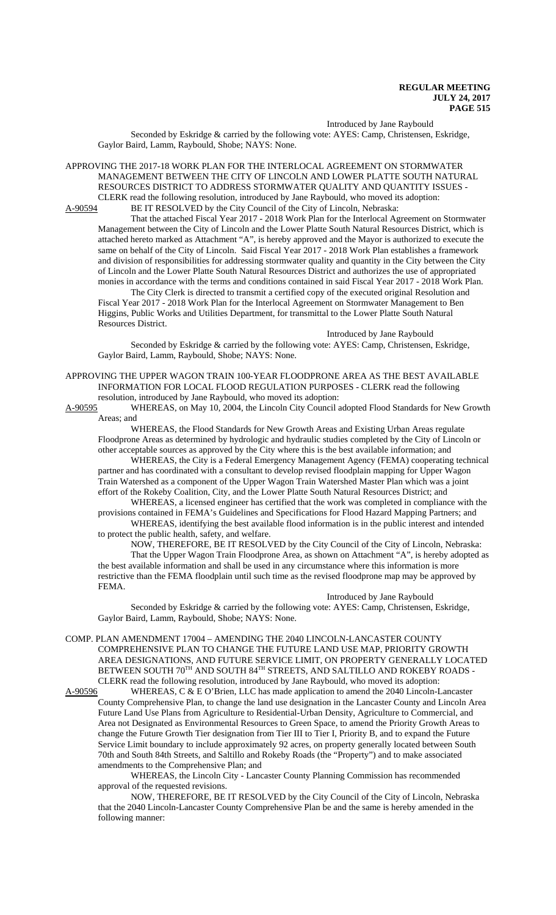Introduced by Jane Raybould

Seconded by Eskridge & carried by the following vote: AYES: Camp, Christensen, Eskridge, Gaylor Baird, Lamm, Raybould, Shobe; NAYS: None.

APPROVING THE 2017-18 WORK PLAN FOR THE INTERLOCAL AGREEMENT ON STORMWATER MANAGEMENT BETWEEN THE CITY OF LINCOLN AND LOWER PLATTE SOUTH NATURAL RESOURCES DISTRICT TO ADDRESS STORMWATER QUALITY AND QUANTITY ISSUES - CLERK read the following resolution, introduced by Jane Raybould, who moved its adoption:

A-90594 BE IT RESOLVED by the City Council of the City of Lincoln, Nebraska:

That the attached Fiscal Year 2017 - 2018 Work Plan for the Interlocal Agreement on Stormwater Management between the City of Lincoln and the Lower Platte South Natural Resources District, which is attached hereto marked as Attachment "A", is hereby approved and the Mayor is authorized to execute the same on behalf of the City of Lincoln. Said Fiscal Year 2017 - 2018 Work Plan establishes a framework and division of responsibilities for addressing stormwater quality and quantity in the City between the City of Lincoln and the Lower Platte South Natural Resources District and authorizes the use of appropriated monies in accordance with the terms and conditions contained in said Fiscal Year 2017 - 2018 Work Plan.

The City Clerk is directed to transmit a certified copy of the executed original Resolution and Fiscal Year 2017 - 2018 Work Plan for the Interlocal Agreement on Stormwater Management to Ben Higgins, Public Works and Utilities Department, for transmittal to the Lower Platte South Natural Resources District.

Introduced by Jane Raybould

Seconded by Eskridge & carried by the following vote: AYES: Camp, Christensen, Eskridge, Gaylor Baird, Lamm, Raybould, Shobe; NAYS: None.

APPROVING THE UPPER WAGON TRAIN 100-YEAR FLOODPRONE AREA AS THE BEST AVAILABLE INFORMATION FOR LOCAL FLOOD REGULATION PURPOSES - CLERK read the following resolution, introduced by Jane Raybould, who moved its adoption:

A-90595 WHEREAS, on May 10, 2004, the Lincoln City Council adopted Flood Standards for New Growth Areas; and

WHEREAS, the Flood Standards for New Growth Areas and Existing Urban Areas regulate Floodprone Areas as determined by hydrologic and hydraulic studies completed by the City of Lincoln or other acceptable sources as approved by the City where this is the best available information; and

WHEREAS, the City is a Federal Emergency Management Agency (FEMA) cooperating technical partner and has coordinated with a consultant to develop revised floodplain mapping for Upper Wagon Train Watershed as a component of the Upper Wagon Train Watershed Master Plan which was a joint effort of the Rokeby Coalition, City, and the Lower Platte South Natural Resources District; and

WHEREAS, a licensed engineer has certified that the work was completed in compliance with the provisions contained in FEMA's Guidelines and Specifications for Flood Hazard Mapping Partners; and WHEREAS, identifying the best available flood information is in the public interest and intended

to protect the public health, safety, and welfare. NOW, THEREFORE, BE IT RESOLVED by the City Council of the City of Lincoln, Nebraska:

That the Upper Wagon Train Floodprone Area, as shown on Attachment "A", is hereby adopted as the best available information and shall be used in any circumstance where this information is more restrictive than the FEMA floodplain until such time as the revised floodprone map may be approved by FEMA.

Introduced by Jane Raybould

Seconded by Eskridge & carried by the following vote: AYES: Camp, Christensen, Eskridge, Gaylor Baird, Lamm, Raybould, Shobe; NAYS: None.

COMP. PLAN AMENDMENT 17004 – AMENDING THE 2040 LINCOLN-LANCASTER COUNTY COMPREHENSIVE PLAN TO CHANGE THE FUTURE LAND USE MAP, PRIORITY GROWTH AREA DESIGNATIONS, AND FUTURE SERVICE LIMIT, ON PROPERTY GENERALLY LOCATED BETWEEN SOUTH 70TH AND SOUTH 84TH STREETS, AND SALTILLO AND ROKEBY ROADS -CLERK read the following resolution, introduced by Jane Raybould, who moved its adoption:<br>A-90596 WHEREAS, C & E O'Brien, LLC has made application to amend the 2040 Lincoln-L

WHEREAS, C & E O'Brien, LLC has made application to amend the 2040 Lincoln-Lancaster County Comprehensive Plan, to change the land use designation in the Lancaster County and Lincoln Area Future Land Use Plans from Agriculture to Residential-Urban Density, Agriculture to Commercial, and Area not Designated as Environmental Resources to Green Space, to amend the Priority Growth Areas to change the Future Growth Tier designation from Tier III to Tier I, Priority B, and to expand the Future Service Limit boundary to include approximately 92 acres, on property generally located between South 70th and South 84th Streets, and Saltillo and Rokeby Roads (the "Property") and to make associated amendments to the Comprehensive Plan; and

WHEREAS, the Lincoln City - Lancaster County Planning Commission has recommended approval of the requested revisions.

NOW, THEREFORE, BE IT RESOLVED by the City Council of the City of Lincoln, Nebraska that the 2040 Lincoln-Lancaster County Comprehensive Plan be and the same is hereby amended in the following manner: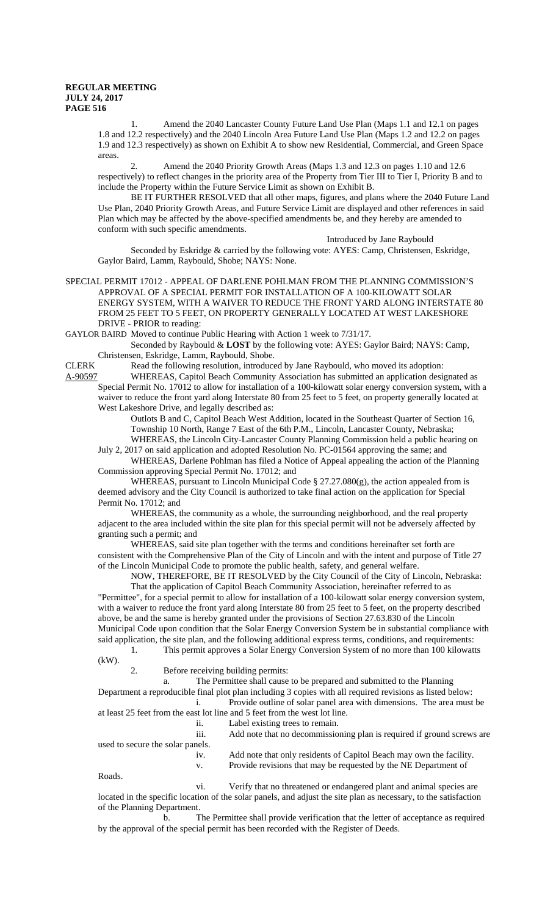1. Amend the 2040 Lancaster County Future Land Use Plan (Maps 1.1 and 12.1 on pages 1.8 and 12.2 respectively) and the 2040 Lincoln Area Future Land Use Plan (Maps 1.2 and 12.2 on pages 1.9 and 12.3 respectively) as shown on Exhibit A to show new Residential, Commercial, and Green Space areas.

2. Amend the 2040 Priority Growth Areas (Maps 1.3 and 12.3 on pages 1.10 and 12.6 respectively) to reflect changes in the priority area of the Property from Tier III to Tier I, Priority B and to include the Property within the Future Service Limit as shown on Exhibit B.

BE IT FURTHER RESOLVED that all other maps, figures, and plans where the 2040 Future Land Use Plan, 2040 Priority Growth Areas, and Future Service Limit are displayed and other references in said Plan which may be affected by the above-specified amendments be, and they hereby are amended to conform with such specific amendments.

Introduced by Jane Raybould

Seconded by Eskridge & carried by the following vote: AYES: Camp, Christensen, Eskridge, Gaylor Baird, Lamm, Raybould, Shobe; NAYS: None.

SPECIAL PERMIT 17012 - APPEAL OF DARLENE POHLMAN FROM THE PLANNING COMMISSION'S APPROVAL OF A SPECIAL PERMIT FOR INSTALLATION OF A 100-KILOWATT SOLAR ENERGY SYSTEM, WITH A WAIVER TO REDUCE THE FRONT YARD ALONG INTERSTATE 80 FROM 25 FEET TO 5 FEET, ON PROPERTY GENERALLY LOCATED AT WEST LAKESHORE DRIVE - PRIOR to reading:

GAYLOR BAIRD Moved to continue Public Hearing with Action 1 week to 7/31/17.

Seconded by Raybould & **LOST** by the following vote: AYES: Gaylor Baird; NAYS: Camp, Christensen, Eskridge, Lamm, Raybould, Shobe.

CLERK Read the following resolution, introduced by Jane Raybould, who moved its adoption: A-90597 WHEREAS, Capitol Beach Community Association has submitted an application designated as

Special Permit No. 17012 to allow for installation of a 100-kilowatt solar energy conversion system, with a waiver to reduce the front yard along Interstate 80 from 25 feet to 5 feet, on property generally located at West Lakeshore Drive, and legally described as:

Outlots B and C, Capitol Beach West Addition, located in the Southeast Quarter of Section 16, Township 10 North, Range 7 East of the 6th P.M., Lincoln, Lancaster County, Nebraska; WHEREAS, the Lincoln City-Lancaster County Planning Commission held a public hearing on

July 2, 2017 on said application and adopted Resolution No. PC-01564 approving the same; and WHEREAS, Darlene Pohlman has filed a Notice of Appeal appealing the action of the Planning

Commission approving Special Permit No. 17012; and

WHEREAS, pursuant to Lincoln Municipal Code  $\S 27.27.080(g)$ , the action appealed from is deemed advisory and the City Council is authorized to take final action on the application for Special Permit No. 17012; and

WHEREAS, the community as a whole, the surrounding neighborhood, and the real property adjacent to the area included within the site plan for this special permit will not be adversely affected by granting such a permit; and

WHEREAS, said site plan together with the terms and conditions hereinafter set forth are consistent with the Comprehensive Plan of the City of Lincoln and with the intent and purpose of Title 27 of the Lincoln Municipal Code to promote the public health, safety, and general welfare.

NOW, THEREFORE, BE IT RESOLVED by the City Council of the City of Lincoln, Nebraska:

That the application of Capitol Beach Community Association, hereinafter referred to as "Permittee", for a special permit to allow for installation of a 100-kilowatt solar energy conversion system, with a waiver to reduce the front yard along Interstate 80 from 25 feet to 5 feet, on the property described above, be and the same is hereby granted under the provisions of Section 27.63.830 of the Lincoln Municipal Code upon condition that the Solar Energy Conversion System be in substantial compliance with said application, the site plan, and the following additional express terms, conditions, and requirements: 1. This permit approves a Solar Energy Conversion System of no more than 100 kilowatts

 $(kW)$ .

2. Before receiving building permits:

a. The Permittee shall cause to be prepared and submitted to the Planning

Department a reproducible final plot plan including 3 copies with all required revisions as listed below: i. Provide outline of solar panel area with dimensions. The area must be at least 25 feet from the east lot line and 5 feet from the west lot line.

ii. Label existing trees to remain.

|                                  | Laber existing trees to remain.                                        |
|----------------------------------|------------------------------------------------------------------------|
| $\cdots$<br>111.                 | Add note that no decommissioning plan is required if ground screws are |
| used to secure the solar panels. |                                                                        |
| $1V_{\odot}$                     | Add note that only residents of Capitol Beach may own the facility.    |
|                                  | Provide revisions that may be requested by the NE Department of        |

Roads.

vi. Verify that no threatened or endangered plant and animal species are located in the specific location of the solar panels, and adjust the site plan as necessary, to the satisfaction of the Planning Department.

b. The Permittee shall provide verification that the letter of acceptance as required by the approval of the special permit has been recorded with the Register of Deeds.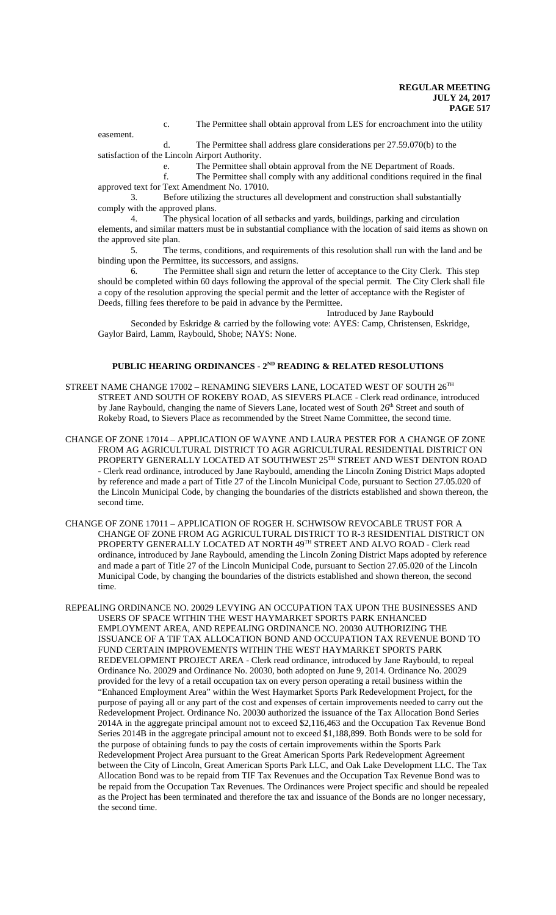c. The Permittee shall obtain approval from LES for encroachment into the utility

easement.

d. The Permittee shall address glare considerations per 27.59.070(b) to the satisfaction of the Lincoln Airport Authority.

e. The Permittee shall obtain approval from the NE Department of Roads.

f. The Permittee shall comply with any additional conditions required in the final approved text for Text Amendment No. 17010.

3. Before utilizing the structures all development and construction shall substantially comply with the approved plans.

4. The physical location of all setbacks and yards, buildings, parking and circulation elements, and similar matters must be in substantial compliance with the location of said items as shown on the approved site plan.

5. The terms, conditions, and requirements of this resolution shall run with the land and be binding upon the Permittee, its successors, and assigns.

6. The Permittee shall sign and return the letter of acceptance to the City Clerk. This step should be completed within 60 days following the approval of the special permit. The City Clerk shall file a copy of the resolution approving the special permit and the letter of acceptance with the Register of Deeds, filling fees therefore to be paid in advance by the Permittee.

Introduced by Jane Raybould

Seconded by Eskridge & carried by the following vote: AYES: Camp, Christensen, Eskridge, Gaylor Baird, Lamm, Raybould, Shobe; NAYS: None.

## PUBLIC HEARING ORDINANCES - 2<sup>ND</sup> READING & RELATED RESOLUTIONS

- STREET NAME CHANGE 17002 RENAMING SIEVERS LANE, LOCATED WEST OF SOUTH 26TH STREET AND SOUTH OF ROKEBY ROAD, AS SIEVERS PLACE - Clerk read ordinance, introduced by Jane Raybould, changing the name of Sievers Lane, located west of South 26<sup>th</sup> Street and south of Rokeby Road, to Sievers Place as recommended by the Street Name Committee, the second time.
- CHANGE OF ZONE 17014 APPLICATION OF WAYNE AND LAURA PESTER FOR A CHANGE OF ZONE FROM AG AGRICULTURAL DISTRICT TO AGR AGRICULTURAL RESIDENTIAL DISTRICT ON PROPERTY GENERALLY LOCATED AT SOUTHWEST 25TH STREET AND WEST DENTON ROAD - Clerk read ordinance, introduced by Jane Raybould, amending the Lincoln Zoning District Maps adopted by reference and made a part of Title 27 of the Lincoln Municipal Code, pursuant to Section 27.05.020 of the Lincoln Municipal Code, by changing the boundaries of the districts established and shown thereon, the second time.
- CHANGE OF ZONE 17011 APPLICATION OF ROGER H. SCHWISOW REVOCABLE TRUST FOR A CHANGE OF ZONE FROM AG AGRICULTURAL DISTRICT TO R-3 RESIDENTIAL DISTRICT ON PROPERTY GENERALLY LOCATED AT NORTH 49TH STREET AND ALVO ROAD - Clerk read ordinance, introduced by Jane Raybould, amending the Lincoln Zoning District Maps adopted by reference and made a part of Title 27 of the Lincoln Municipal Code, pursuant to Section 27.05.020 of the Lincoln Municipal Code, by changing the boundaries of the districts established and shown thereon, the second time.
- REPEALING ORDINANCE NO. 20029 LEVYING AN OCCUPATION TAX UPON THE BUSINESSES AND USERS OF SPACE WITHIN THE WEST HAYMARKET SPORTS PARK ENHANCED EMPLOYMENT AREA, AND REPEALING ORDINANCE NO. 20030 AUTHORIZING THE ISSUANCE OF A TIF TAX ALLOCATION BOND AND OCCUPATION TAX REVENUE BOND TO FUND CERTAIN IMPROVEMENTS WITHIN THE WEST HAYMARKET SPORTS PARK REDEVELOPMENT PROJECT AREA - Clerk read ordinance, introduced by Jane Raybould, to repeal Ordinance No. 20029 and Ordinance No. 20030, both adopted on June 9, 2014. Ordinance No. 20029 provided for the levy of a retail occupation tax on every person operating a retail business within the "Enhanced Employment Area" within the West Haymarket Sports Park Redevelopment Project, for the purpose of paying all or any part of the cost and expenses of certain improvements needed to carry out the Redevelopment Project. Ordinance No. 20030 authorized the issuance of the Tax Allocation Bond Series 2014A in the aggregate principal amount not to exceed \$2,116,463 and the Occupation Tax Revenue Bond Series 2014B in the aggregate principal amount not to exceed \$1,188,899. Both Bonds were to be sold for the purpose of obtaining funds to pay the costs of certain improvements within the Sports Park Redevelopment Project Area pursuant to the Great American Sports Park Redevelopment Agreement between the City of Lincoln, Great American Sports Park LLC, and Oak Lake Development LLC. The Tax Allocation Bond was to be repaid from TIF Tax Revenues and the Occupation Tax Revenue Bond was to be repaid from the Occupation Tax Revenues. The Ordinances were Project specific and should be repealed as the Project has been terminated and therefore the tax and issuance of the Bonds are no longer necessary, the second time.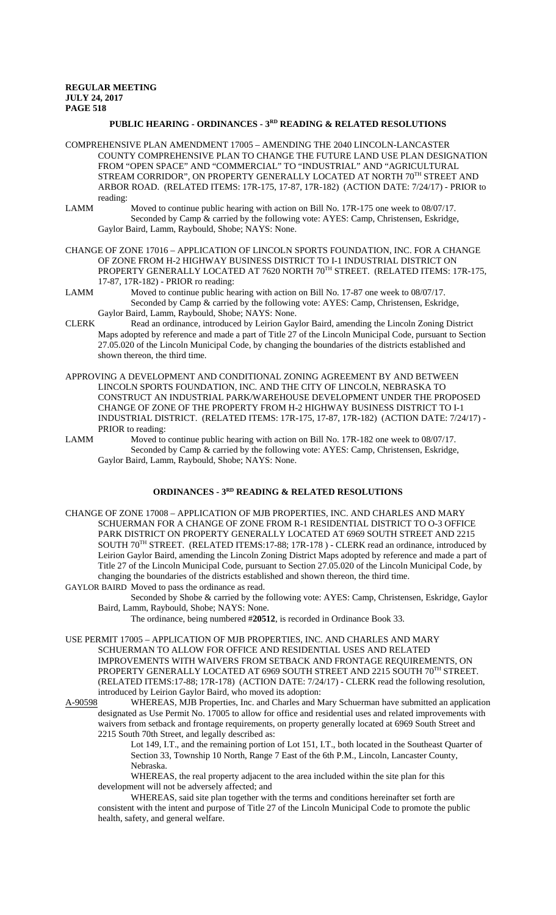# **PUBLIC HEARING - ORDINANCES - 3RD READING & RELATED RESOLUTIONS**

- COMPREHENSIVE PLAN AMENDMENT 17005 AMENDING THE 2040 LINCOLN-LANCASTER COUNTY COMPREHENSIVE PLAN TO CHANGE THE FUTURE LAND USE PLAN DESIGNATION FROM "OPEN SPACE" AND "COMMERCIAL" TO "INDUSTRIAL" AND "AGRICULTURAL STREAM CORRIDOR", ON PROPERTY GENERALLY LOCATED AT NORTH  $70^{\text{TH}}$  STREET AND ARBOR ROAD. (RELATED ITEMS: 17R-175, 17-87, 17R-182) (ACTION DATE: 7/24/17) - PRIOR to reading:
- LAMM Moved to continue public hearing with action on Bill No. 17R-175 one week to 08/07/17. Seconded by Camp & carried by the following vote: AYES: Camp, Christensen, Eskridge, Gaylor Baird, Lamm, Raybould, Shobe; NAYS: None.
- CHANGE OF ZONE 17016 APPLICATION OF LINCOLN SPORTS FOUNDATION, INC. FOR A CHANGE OF ZONE FROM H-2 HIGHWAY BUSINESS DISTRICT TO I-1 INDUSTRIAL DISTRICT ON PROPERTY GENERALLY LOCATED AT 7620 NORTH 70TH STREET. (RELATED ITEMS: 17R-175, 17-87, 17R-182) - PRIOR ro reading:
- LAMM Moved to continue public hearing with action on Bill No. 17-87 one week to 08/07/17. Seconded by Camp & carried by the following vote: AYES: Camp, Christensen, Eskridge, Gaylor Baird, Lamm, Raybould, Shobe; NAYS: None.
- CLERK Read an ordinance, introduced by Leirion Gaylor Baird, amending the Lincoln Zoning District Maps adopted by reference and made a part of Title 27 of the Lincoln Municipal Code, pursuant to Section 27.05.020 of the Lincoln Municipal Code, by changing the boundaries of the districts established and shown thereon, the third time.
- APPROVING A DEVELOPMENT AND CONDITIONAL ZONING AGREEMENT BY AND BETWEEN LINCOLN SPORTS FOUNDATION, INC. AND THE CITY OF LINCOLN, NEBRASKA TO CONSTRUCT AN INDUSTRIAL PARK/WAREHOUSE DEVELOPMENT UNDER THE PROPOSED CHANGE OF ZONE OF THE PROPERTY FROM H-2 HIGHWAY BUSINESS DISTRICT TO I-1 INDUSTRIAL DISTRICT. (RELATED ITEMS: 17R-175, 17-87, 17R-182) (ACTION DATE: 7/24/17) - PRIOR to reading:
- LAMM Moved to continue public hearing with action on Bill No. 17R-182 one week to 08/07/17. Seconded by Camp & carried by the following vote: AYES: Camp, Christensen, Eskridge, Gaylor Baird, Lamm, Raybould, Shobe; NAYS: None.

# **ORDINANCES - 3RD READING & RELATED RESOLUTIONS**

- CHANGE OF ZONE 17008 APPLICATION OF MJB PROPERTIES, INC. AND CHARLES AND MARY SCHUERMAN FOR A CHANGE OF ZONE FROM R-1 RESIDENTIAL DISTRICT TO O-3 OFFICE PARK DISTRICT ON PROPERTY GENERALLY LOCATED AT 6969 SOUTH STREET AND 2215 SOUTH 70TH STREET. (RELATED ITEMS:17-88; 17R-178 ) - CLERK read an ordinance, introduced by Leirion Gaylor Baird, amending the Lincoln Zoning District Maps adopted by reference and made a part of Title 27 of the Lincoln Municipal Code, pursuant to Section 27.05.020 of the Lincoln Municipal Code, by changing the boundaries of the districts established and shown thereon, the third time.
- GAYLOR BAIRD Moved to pass the ordinance as read. Seconded by Shobe & carried by the following vote: AYES: Camp, Christensen, Eskridge, Gaylor
	- Baird, Lamm, Raybould, Shobe; NAYS: None.
		- The ordinance, being numbered #**20512**, is recorded in Ordinance Book 33.
- USE PERMIT 17005 APPLICATION OF MJB PROPERTIES, INC. AND CHARLES AND MARY SCHUERMAN TO ALLOW FOR OFFICE AND RESIDENTIAL USES AND RELATED IMPROVEMENTS WITH WAIVERS FROM SETBACK AND FRONTAGE REQUIREMENTS, ON PROPERTY GENERALLY LOCATED AT 6969 SOUTH STREET AND 2215 SOUTH 70TH STREET. (RELATED ITEMS:17-88; 17R-178) (ACTION DATE: 7/24/17) - CLERK read the following resolution, introduced by Leirion Gaylor Baird, who moved its adoption:
- A-90598 WHEREAS, MJB Properties, Inc. and Charles and Mary Schuerman have submitted an application designated as Use Permit No. 17005 to allow for office and residential uses and related improvements with waivers from setback and frontage requirements, on property generally located at 6969 South Street and 2215 South 70th Street, and legally described as:
	- Lot 149, I.T., and the remaining portion of Lot 151, I.T., both located in the Southeast Quarter of Section 33, Township 10 North, Range 7 East of the 6th P.M., Lincoln, Lancaster County, Nebraska.
	- WHEREAS, the real property adjacent to the area included within the site plan for this development will not be adversely affected; and
	- WHEREAS, said site plan together with the terms and conditions hereinafter set forth are consistent with the intent and purpose of Title 27 of the Lincoln Municipal Code to promote the public health, safety, and general welfare.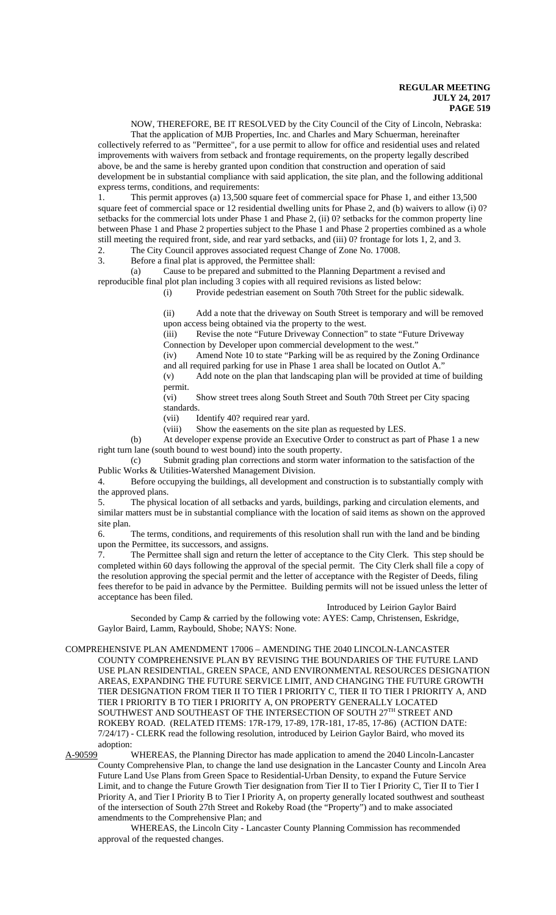NOW, THEREFORE, BE IT RESOLVED by the City Council of the City of Lincoln, Nebraska:

That the application of MJB Properties, Inc. and Charles and Mary Schuerman, hereinafter collectively referred to as "Permittee", for a use permit to allow for office and residential uses and related improvements with waivers from setback and frontage requirements, on the property legally described above, be and the same is hereby granted upon condition that construction and operation of said development be in substantial compliance with said application, the site plan, and the following additional express terms, conditions, and requirements:

1. This permit approves (a) 13,500 square feet of commercial space for Phase 1, and either 13,500 square feet of commercial space or 12 residential dwelling units for Phase 2, and (b) waivers to allow (i) 0? setbacks for the commercial lots under Phase 1 and Phase 2, (ii) 0? setbacks for the common property line between Phase 1 and Phase 2 properties subject to the Phase 1 and Phase 2 properties combined as a whole still meeting the required front, side, and rear yard setbacks, and (iii) 0? frontage for lots 1, 2, and 3.

2. The City Council approves associated request Change of Zone No. 17008.<br>3. Before a final plat is approved, the Permittee shall:

Before a final plat is approved, the Permittee shall:

(a) Cause to be prepared and submitted to the Planning Department a revised and reproducible final plot plan including 3 copies with all required revisions as listed below:

(i) Provide pedestrian easement on South 70th Street for the public sidewalk.

(ii) Add a note that the driveway on South Street is temporary and will be removed upon access being obtained via the property to the west.

(iii) Revise the note "Future Driveway Connection" to state "Future Driveway Connection by Developer upon commercial development to the west."

(iv) Amend Note 10 to state "Parking will be as required by the Zoning Ordinance and all required parking for use in Phase 1 area shall be located on Outlot A.

(v) Add note on the plan that landscaping plan will be provided at time of building permit.

(vi) Show street trees along South Street and South 70th Street per City spacing standards.

(vii) Identify 40? required rear yard.

(viii) Show the easements on the site plan as requested by LES.

(b) At developer expense provide an Executive Order to construct as part of Phase 1 a new right turn lane (south bound to west bound) into the south property.

(c) Submit grading plan corrections and storm water information to the satisfaction of the Public Works & Utilities-Watershed Management Division.

4. Before occupying the buildings, all development and construction is to substantially comply with the approved plans.

5. The physical location of all setbacks and yards, buildings, parking and circulation elements, and similar matters must be in substantial compliance with the location of said items as shown on the approved site plan.

6. The terms, conditions, and requirements of this resolution shall run with the land and be binding upon the Permittee, its successors, and assigns.

7. The Permittee shall sign and return the letter of acceptance to the City Clerk. This step should be completed within 60 days following the approval of the special permit. The City Clerk shall file a copy of the resolution approving the special permit and the letter of acceptance with the Register of Deeds, filing fees therefor to be paid in advance by the Permittee. Building permits will not be issued unless the letter of acceptance has been filed.

#### Introduced by Leirion Gaylor Baird

Seconded by Camp & carried by the following vote: AYES: Camp, Christensen, Eskridge, Gaylor Baird, Lamm, Raybould, Shobe; NAYS: None.

COMPREHENSIVE PLAN AMENDMENT 17006 – AMENDING THE 2040 LINCOLN-LANCASTER

COUNTY COMPREHENSIVE PLAN BY REVISING THE BOUNDARIES OF THE FUTURE LAND USE PLAN RESIDENTIAL, GREEN SPACE, AND ENVIRONMENTAL RESOURCES DESIGNATION AREAS, EXPANDING THE FUTURE SERVICE LIMIT, AND CHANGING THE FUTURE GROWTH TIER DESIGNATION FROM TIER II TO TIER I PRIORITY C, TIER II TO TIER I PRIORITY A, AND TIER I PRIORITY B TO TIER I PRIORITY A, ON PROPERTY GENERALLY LOCATED SOUTHWEST AND SOUTHEAST OF THE INTERSECTION OF SOUTH 27TH STREET AND ROKEBY ROAD. (RELATED ITEMS: 17R-179, 17-89, 17R-181, 17-85, 17-86) (ACTION DATE: 7/24/17) - CLERK read the following resolution, introduced by Leirion Gaylor Baird, who moved its adoption:

A-90599 WHEREAS, the Planning Director has made application to amend the 2040 Lincoln-Lancaster County Comprehensive Plan, to change the land use designation in the Lancaster County and Lincoln Area Future Land Use Plans from Green Space to Residential-Urban Density, to expand the Future Service Limit, and to change the Future Growth Tier designation from Tier II to Tier I Priority C, Tier II to Tier I Priority A, and Tier I Priority B to Tier I Priority A, on property generally located southwest and southeast of the intersection of South 27th Street and Rokeby Road (the "Property") and to make associated amendments to the Comprehensive Plan; and

WHEREAS, the Lincoln City - Lancaster County Planning Commission has recommended approval of the requested changes.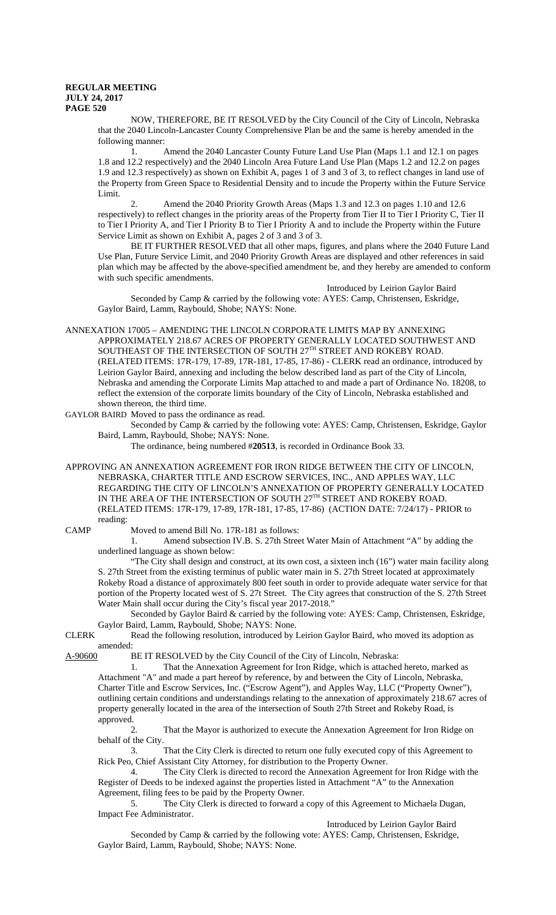NOW, THEREFORE, BE IT RESOLVED by the City Council of the City of Lincoln, Nebraska that the 2040 Lincoln-Lancaster County Comprehensive Plan be and the same is hereby amended in the following manner:

1. Amend the 2040 Lancaster County Future Land Use Plan (Maps 1.1 and 12.1 on pages 1.8 and 12.2 respectively) and the 2040 Lincoln Area Future Land Use Plan (Maps 1.2 and 12.2 on pages 1.9 and 12.3 respectively) as shown on Exhibit A, pages 1 of 3 and 3 of 3, to reflect changes in land use of the Property from Green Space to Residential Density and to incude the Property within the Future Service Limit.

2. Amend the 2040 Priority Growth Areas (Maps 1.3 and 12.3 on pages 1.10 and 12.6 respectively) to reflect changes in the priority areas of the Property from Tier II to Tier I Priority C, Tier II to Tier I Priority A, and Tier I Priority B to Tier I Priority A and to include the Property within the Future Service Limit as shown on Exhibit A, pages 2 of 3 and 3 of 3.

BE IT FURTHER RESOLVED that all other maps, figures, and plans where the 2040 Future Land Use Plan, Future Service Limit, and 2040 Priority Growth Areas are displayed and other references in said plan which may be affected by the above-specified amendment be, and they hereby are amended to conform with such specific amendments.

Introduced by Leirion Gaylor Baird Seconded by Camp & carried by the following vote: AYES: Camp, Christensen, Eskridge, Gaylor Baird, Lamm, Raybould, Shobe; NAYS: None.

ANNEXATION 17005 – AMENDING THE LINCOLN CORPORATE LIMITS MAP BY ANNEXING APPROXIMATELY 218.67 ACRES OF PROPERTY GENERALLY LOCATED SOUTHWEST AND SOUTHEAST OF THE INTERSECTION OF SOUTH 27TH STREET AND ROKEBY ROAD. (RELATED ITEMS: 17R-179, 17-89, 17R-181, 17-85, 17-86) - CLERK read an ordinance, introduced by Leirion Gaylor Baird, annexing and including the below described land as part of the City of Lincoln, Nebraska and amending the Corporate Limits Map attached to and made a part of Ordinance No. 18208, to reflect the extension of the corporate limits boundary of the City of Lincoln, Nebraska established and shown thereon, the third time.

GAYLOR BAIRD Moved to pass the ordinance as read.

Seconded by Camp & carried by the following vote: AYES: Camp, Christensen, Eskridge, Gaylor Baird, Lamm, Raybould, Shobe; NAYS: None.

The ordinance, being numbered #**20513**, is recorded in Ordinance Book 33.

APPROVING AN ANNEXATION AGREEMENT FOR IRON RIDGE BETWEEN THE CITY OF LINCOLN, NEBRASKA, CHARTER TITLE AND ESCROW SERVICES, INC., AND APPLES WAY, LLC REGARDING THE CITY OF LINCOLN'S ANNEXATION OF PROPERTY GENERALLY LOCATED IN THE AREA OF THE INTERSECTION OF SOUTH 27TH STREET AND ROKEBY ROAD. (RELATED ITEMS: 17R-179, 17-89, 17R-181, 17-85, 17-86) (ACTION DATE: 7/24/17) - PRIOR to reading:

CAMP Moved to amend Bill No. 17R-181 as follows:

1. Amend subsection IV.B. S. 27th Street Water Main of Attachment "A" by adding the underlined language as shown below:

"The City shall design and construct, at its own cost, a sixteen inch (16") water main facility along S. 27th Street from the existing terminus of public water main in S. 27th Street located at approximately Rokeby Road a distance of approximately 800 feet south in order to provide adequate water service for that portion of the Property located west of S. 27t Street. The City agrees that construction of the S. 27th Street Water Main shall occur during the City's fiscal year 2017-2018."

Seconded by Gaylor Baird & carried by the following vote: AYES: Camp, Christensen, Eskridge, Gaylor Baird, Lamm, Raybould, Shobe; NAYS: None.

CLERK Read the following resolution, introduced by Leirion Gaylor Baird, who moved its adoption as amended:<br>A-90600 F

BE IT RESOLVED by the City Council of the City of Lincoln, Nebraska:

1. That the Annexation Agreement for Iron Ridge, which is attached hereto, marked as Attachment "A" and made a part hereof by reference, by and between the City of Lincoln, Nebraska, Charter Title and Escrow Services, Inc. ("Escrow Agent"), and Apples Way, LLC ("Property Owner"), outlining certain conditions and understandings relating to the annexation of approximately 218.67 acres of property generally located in the area of the intersection of South 27th Street and Rokeby Road, is approved.

 2. That the Mayor is authorized to execute the Annexation Agreement for Iron Ridge on behalf of the City.

3. That the City Clerk is directed to return one fully executed copy of this Agreement to Rick Peo, Chief Assistant City Attorney, for distribution to the Property Owner.

4. The City Clerk is directed to record the Annexation Agreement for Iron Ridge with the Register of Deeds to be indexed against the properties listed in Attachment "A" to the Annexation Agreement, filing fees to be paid by the Property Owner.

5. The City Clerk is directed to forward a copy of this Agreement to Michaela Dugan, Impact Fee Administrator.

Introduced by Leirion Gaylor Baird

Seconded by Camp & carried by the following vote: AYES: Camp, Christensen, Eskridge, Gaylor Baird, Lamm, Raybould, Shobe; NAYS: None.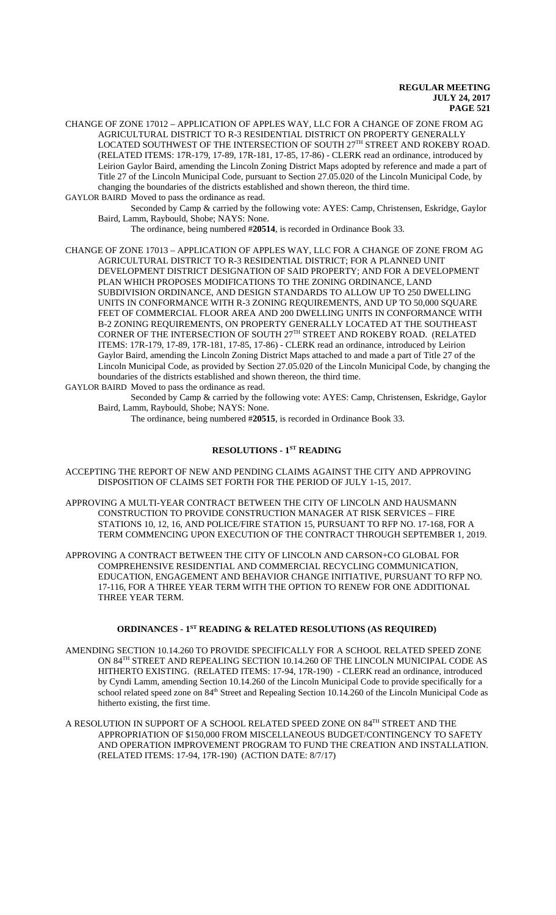CHANGE OF ZONE 17012 – APPLICATION OF APPLES WAY, LLC FOR A CHANGE OF ZONE FROM AG AGRICULTURAL DISTRICT TO R-3 RESIDENTIAL DISTRICT ON PROPERTY GENERALLY LOCATED SOUTHWEST OF THE INTERSECTION OF SOUTH 27TH STREET AND ROKEBY ROAD. (RELATED ITEMS: 17R-179, 17-89, 17R-181, 17-85, 17-86) - CLERK read an ordinance, introduced by Leirion Gaylor Baird, amending the Lincoln Zoning District Maps adopted by reference and made a part of Title 27 of the Lincoln Municipal Code, pursuant to Section 27.05.020 of the Lincoln Municipal Code, by changing the boundaries of the districts established and shown thereon, the third time. GAYLOR BAIRD Moved to pass the ordinance as read.

Seconded by Camp & carried by the following vote: AYES: Camp, Christensen, Eskridge, Gaylor Baird, Lamm, Raybould, Shobe; NAYS: None.

The ordinance, being numbered #**20514**, is recorded in Ordinance Book 33.

CHANGE OF ZONE 17013 – APPLICATION OF APPLES WAY, LLC FOR A CHANGE OF ZONE FROM AG AGRICULTURAL DISTRICT TO R-3 RESIDENTIAL DISTRICT; FOR A PLANNED UNIT DEVELOPMENT DISTRICT DESIGNATION OF SAID PROPERTY; AND FOR A DEVELOPMENT PLAN WHICH PROPOSES MODIFICATIONS TO THE ZONING ORDINANCE, LAND SUBDIVISION ORDINANCE, AND DESIGN STANDARDS TO ALLOW UP TO 250 DWELLING UNITS IN CONFORMANCE WITH R-3 ZONING REQUIREMENTS, AND UP TO 50,000 SQUARE FEET OF COMMERCIAL FLOOR AREA AND 200 DWELLING UNITS IN CONFORMANCE WITH B-2 ZONING REQUIREMENTS, ON PROPERTY GENERALLY LOCATED AT THE SOUTHEAST CORNER OF THE INTERSECTION OF SOUTH 27TH STREET AND ROKEBY ROAD. (RELATED ITEMS: 17R-179, 17-89, 17R-181, 17-85, 17-86) - CLERK read an ordinance, introduced by Leirion Gaylor Baird, amending the Lincoln Zoning District Maps attached to and made a part of Title 27 of the Lincoln Municipal Code, as provided by Section 27.05.020 of the Lincoln Municipal Code, by changing the boundaries of the districts established and shown thereon, the third time.

GAYLOR BAIRD Moved to pass the ordinance as read.

Seconded by Camp & carried by the following vote: AYES: Camp, Christensen, Eskridge, Gaylor Baird, Lamm, Raybould, Shobe; NAYS: None.

The ordinance, being numbered #**20515**, is recorded in Ordinance Book 33.

# **RESOLUTIONS - 1ST READING**

ACCEPTING THE REPORT OF NEW AND PENDING CLAIMS AGAINST THE CITY AND APPROVING DISPOSITION OF CLAIMS SET FORTH FOR THE PERIOD OF JULY 1-15, 2017.

APPROVING A MULTI-YEAR CONTRACT BETWEEN THE CITY OF LINCOLN AND HAUSMANN CONSTRUCTION TO PROVIDE CONSTRUCTION MANAGER AT RISK SERVICES – FIRE STATIONS 10, 12, 16, AND POLICE/FIRE STATION 15, PURSUANT TO RFP NO. 17-168, FOR A TERM COMMENCING UPON EXECUTION OF THE CONTRACT THROUGH SEPTEMBER 1, 2019.

APPROVING A CONTRACT BETWEEN THE CITY OF LINCOLN AND CARSON+CO GLOBAL FOR COMPREHENSIVE RESIDENTIAL AND COMMERCIAL RECYCLING COMMUNICATION, EDUCATION, ENGAGEMENT AND BEHAVIOR CHANGE INITIATIVE, PURSUANT TO RFP NO. 17-116, FOR A THREE YEAR TERM WITH THE OPTION TO RENEW FOR ONE ADDITIONAL THREE YEAR TERM.

### **ORDINANCES - 1ST READING & RELATED RESOLUTIONS (AS REQUIRED)**

AMENDING SECTION 10.14.260 TO PROVIDE SPECIFICALLY FOR A SCHOOL RELATED SPEED ZONE ON 84TH STREET AND REPEALING SECTION 10.14.260 OF THE LINCOLN MUNICIPAL CODE AS HITHERTO EXISTING. (RELATED ITEMS: 17-94, 17R-190) - CLERK read an ordinance, introduced by Cyndi Lamm, amending Section 10.14.260 of the Lincoln Municipal Code to provide specifically for a school related speed zone on 84<sup>th</sup> Street and Repealing Section 10.14.260 of the Lincoln Municipal Code as hitherto existing, the first time.

A RESOLUTION IN SUPPORT OF A SCHOOL RELATED SPEED ZONE ON 84TH STREET AND THE APPROPRIATION OF \$150,000 FROM MISCELLANEOUS BUDGET/CONTINGENCY TO SAFETY AND OPERATION IMPROVEMENT PROGRAM TO FUND THE CREATION AND INSTALLATION. (RELATED ITEMS: 17-94, 17R-190) (ACTION DATE: 8/7/17)